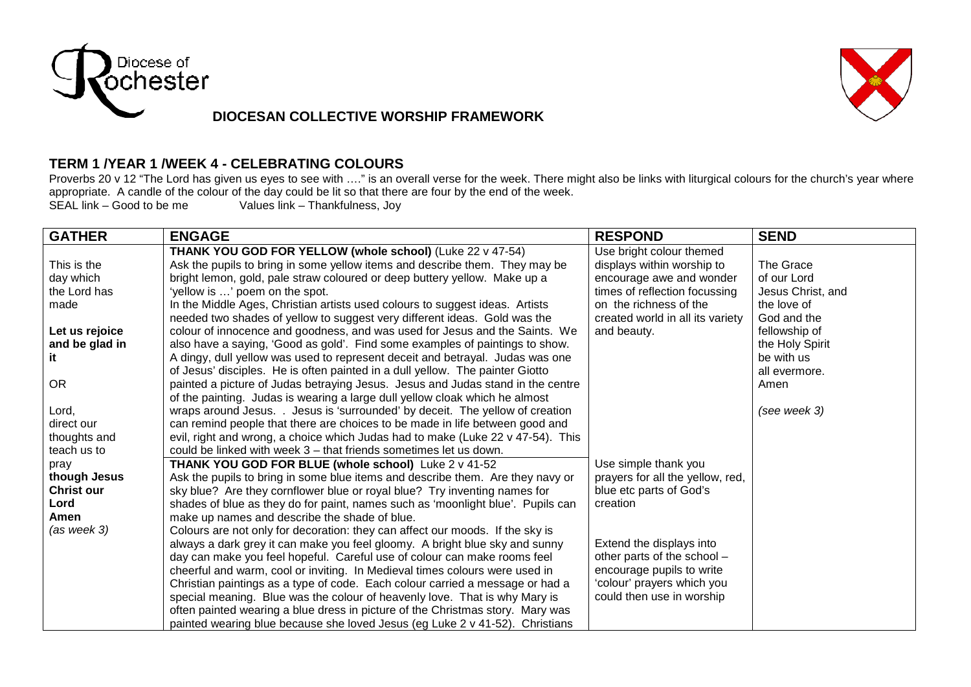

## **DIOCESAN COLLECTIVE WORSHIP FRAMEWORK**



## **TERM 1 /YEAR 1 /WEEK 4 - CELEBRATING COLOURS**

Proverbs 20 v 12 "The Lord has given us eyes to see with ...." is an overall verse for the week. There might also be links with liturgical colours for the church's year where appropriate. A candle of the colour of the day could be lit so that there are four by the end of the week.<br>SEAL link – Good to be me<br>Values link – Thankfulness. Jov

Values link – Thankfulness, Joy

| <b>GATHER</b>     | <b>ENGAGE</b>                                                                   | <b>RESPOND</b>                   | <b>SEND</b>       |
|-------------------|---------------------------------------------------------------------------------|----------------------------------|-------------------|
|                   | THANK YOU GOD FOR YELLOW (whole school) (Luke 22 v 47-54)                       | Use bright colour themed         |                   |
| This is the       | Ask the pupils to bring in some yellow items and describe them. They may be     | displays within worship to       | The Grace         |
| day which         | bright lemon, gold, pale straw coloured or deep buttery yellow. Make up a       | encourage awe and wonder         | of our Lord       |
| the Lord has      | 'yellow is ' poem on the spot.                                                  | times of reflection focussing    | Jesus Christ, and |
| made              | In the Middle Ages, Christian artists used colours to suggest ideas. Artists    | on the richness of the           | the love of       |
|                   | needed two shades of yellow to suggest very different ideas. Gold was the       | created world in all its variety | God and the       |
| Let us rejoice    | colour of innocence and goodness, and was used for Jesus and the Saints. We     | and beauty.                      | fellowship of     |
| and be glad in    | also have a saying, 'Good as gold'. Find some examples of paintings to show.    |                                  | the Holy Spirit   |
| it                | A dingy, dull yellow was used to represent deceit and betrayal. Judas was one   |                                  | be with us        |
|                   | of Jesus' disciples. He is often painted in a dull yellow. The painter Giotto   |                                  | all evermore.     |
| <b>OR</b>         | painted a picture of Judas betraying Jesus. Jesus and Judas stand in the centre |                                  | Amen              |
|                   | of the painting. Judas is wearing a large dull yellow cloak which he almost     |                                  |                   |
| Lord,             | wraps around Jesus. . Jesus is 'surrounded' by deceit. The yellow of creation   |                                  | (see week 3)      |
| direct our        | can remind people that there are choices to be made in life between good and    |                                  |                   |
| thoughts and      | evil, right and wrong, a choice which Judas had to make (Luke 22 v 47-54). This |                                  |                   |
| teach us to       | could be linked with week 3 – that friends sometimes let us down.               |                                  |                   |
| pray              | THANK YOU GOD FOR BLUE (whole school) Luke 2 v 41-52                            | Use simple thank you             |                   |
| though Jesus      | Ask the pupils to bring in some blue items and describe them. Are they navy or  | prayers for all the yellow, red, |                   |
| <b>Christ our</b> | sky blue? Are they cornflower blue or royal blue? Try inventing names for       | blue etc parts of God's          |                   |
| Lord              | shades of blue as they do for paint, names such as 'moonlight blue'. Pupils can | creation                         |                   |
| Amen              | make up names and describe the shade of blue.                                   |                                  |                   |
| $(as$ week $3)$   | Colours are not only for decoration: they can affect our moods. If the sky is   |                                  |                   |
|                   | always a dark grey it can make you feel gloomy. A bright blue sky and sunny     | Extend the displays into         |                   |
|                   | day can make you feel hopeful. Careful use of colour can make rooms feel        | other parts of the school -      |                   |
|                   | cheerful and warm, cool or inviting. In Medieval times colours were used in     | encourage pupils to write        |                   |
|                   | Christian paintings as a type of code. Each colour carried a message or had a   | 'colour' prayers which you       |                   |
|                   | special meaning. Blue was the colour of heavenly love. That is why Mary is      | could then use in worship        |                   |
|                   | often painted wearing a blue dress in picture of the Christmas story. Mary was  |                                  |                   |
|                   | painted wearing blue because she loved Jesus (eg Luke 2 v 41-52). Christians    |                                  |                   |